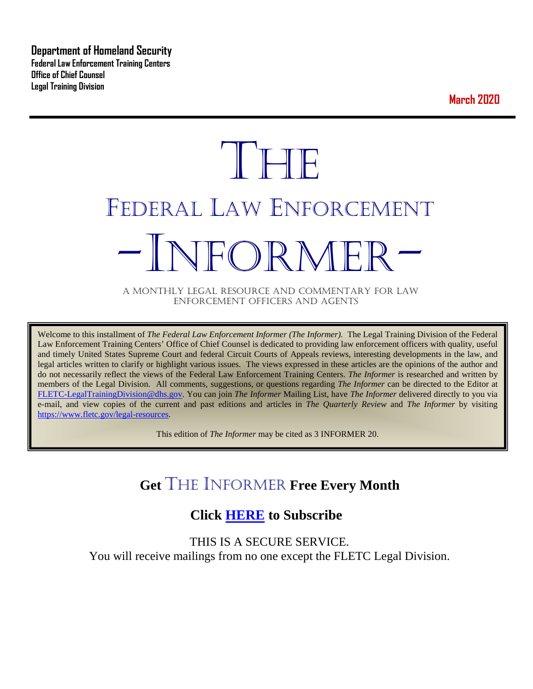**Department of Homeland Security Federal Law Enforcement Training Centers Office of Chief Counsel Legal Training Division** 

**March 2020**

# **THE** FEDERAL LAW ENFORCEMENT -INFORMER- A MONTHLY LEGAL RESOURCE AND COMMENTARY FOR LAW

ENFORCEMENT OFFICERS AND AGENTS

Welcome to this installment of *The Federal Law Enforcement Informer (The Informer).* The Legal Training Division of the Federal Law Enforcement Training Centers' Office of Chief Counsel is dedicated to providing law enforcement officers with quality, useful and timely United States Supreme Court and federal Circuit Courts of Appeals reviews, interesting developments in the law, and legal articles written to clarify or highlight various issues. The views expressed in these articles are the opinions of the author and do not necessarily reflect the views of the Federal Law Enforcement Training Centers. *The Informer* is researched and written by members of the Legal Division. All comments, suggestions, or questions regarding *The Informer* can be directed to the Editor at [FLETC-LegalTrainingDivision@dhs.gov.](mailto:FLETC-LegalTrainingDivision@dhs.gov) You can join *The Informer* Mailing List, have *The Informer* delivered directly to you via e-mail, and view copies of the current and past editions and articles in *The Quarterly Review* and *The Informer* by visiting [https://www.fletc.gov/legal-resources.](https://www.fletc.gov/legal-resources)

This edition of *The Informer* may be cited as 3 INFORMER 20.

# **Get** THE INFORMER **Free Every Month**

# **Click [HERE](https://app.co-sender.com/opt-in/list/7b007eab-378b-4542-807f-44d6de94cb7e) to Subscribe**

THIS IS A SECURE SERVICE. You will receive mailings from no one except the FLETC Legal Division.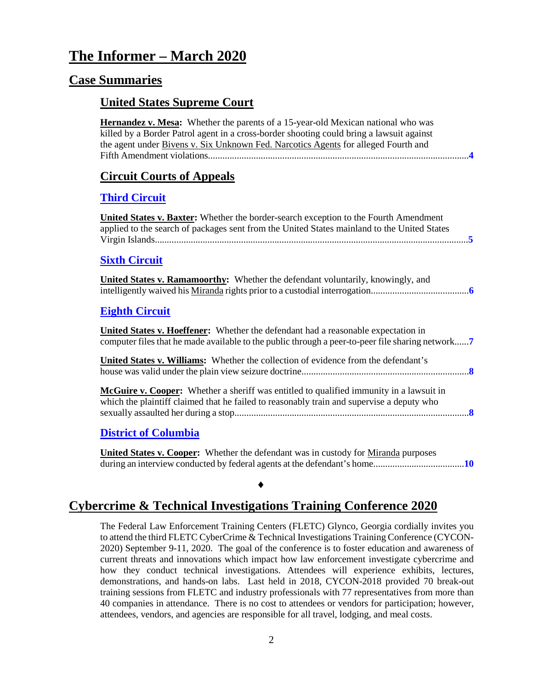# **The Informer – March 2020**

#### **Case Summaries**

#### **United States Supreme Court**

**Hernandez v. Mesa:** Whether the parents of a 15-year-old Mexican national who was killed by a Border Patrol agent in a cross-border shooting could bring a lawsuit against the agent under Bivens v. Six Unknown Fed. Narcotics Agents for alleged Fourth and Fifth Amendment violations.............................................................................................................**[4](#page-3-0)**

#### **[Circuit Courts of Appeals](#page-3-1)**

#### **[Third Circuit](#page-4-0)**

**United States v. Baxter:** Whether the border-search exception to the Fourth Amendment applied to the search of packages sent from the United States mainland to the United States Virgin Islands...................................................................................................................................**[5](#page-4-1)**

#### **[Sixth Circuit](#page-5-0)**

|  | <b>United States v. Ramamoorthy:</b> Whether the defendant voluntarily, knowingly, and |
|--|----------------------------------------------------------------------------------------|
|  |                                                                                        |

#### **[Eighth Circuit](#page-6-0)**

**United States v. Hoeffener:** Whether the defendant had a reasonable expectation in computer files that he made available to the public through a peer-to-peer file sharing network......**[7](#page-6-1)**

**United States v. Williams:** Whether the collection of evidence from the defendant's house was valid under the plain view seizure doctrine......................................................................**[8](#page-7-0)**

**McGuire v. Cooper:** Whether a sheriff was entitled to qualified immunity in a lawsuit in which the plaintiff claimed that he failed to reasonably train and supervise a deputy who sexually assaulted her during a stop..................................................................................................**[8](#page-7-1)**

#### **[District of Columbia](#page-9-0)**

**United States v. Cooper:** Whether the defendant was in custody for Miranda purposes during an interview conducted by federal agents at the defendant's home......................................**[10](#page-9-1)**

### **Cybercrime & Technical Investigations Training Conference 2020**

♦

The Federal Law Enforcement Training Centers (FLETC) Glynco, Georgia cordially invites you to attend the third FLETC CyberCrime & Technical Investigations Training Conference (CYCON-2020) September 9-11, 2020. The goal of the conference is to foster education and awareness of current threats and innovations which impact how law enforcement investigate cybercrime and how they conduct technical investigations. Attendees will experience exhibits, lectures, demonstrations, and hands-on labs. Last held in 2018, CYCON-2018 provided 70 break-out training sessions from FLETC and industry professionals with 77 representatives from more than 40 companies in attendance. There is no cost to attendees or vendors for participation; however, attendees, vendors, and agencies are responsible for all travel, lodging, and meal costs.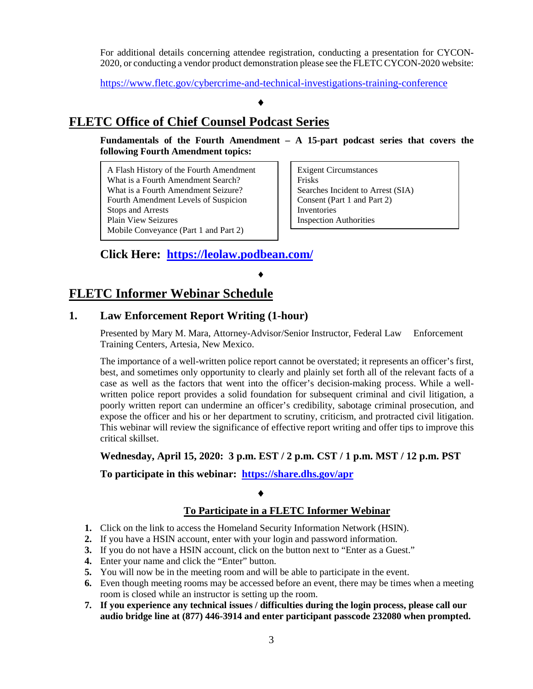For additional details concerning attendee registration, conducting a presentation for CYCON-2020, or conducting a vendor product demonstration please see the FLETC CYCON-2020 website:

<https://www.fletc.gov/cybercrime-and-technical-investigations-training-conference>

#### ♦

#### **FLETC Office of Chief Counsel Podcast Series**

**Fundamentals of the Fourth Amendment – A 15-part podcast series that covers the following Fourth Amendment topics:** 

A Flash History of the Fourth Amendment What is a Fourth Amendment Search? What is a Fourth Amendment Seizure? Fourth Amendment Levels of Suspicion Stops and Arrests Plain View Seizures Mobile Conveyance (Part 1 and Part 2)

Exigent Circumstances Frisks Searches Incident to Arrest (SIA) Consent (Part 1 and Part 2) Inventories Inspection Authorities

#### **Click Here: <https://leolaw.podbean.com/>**

#### ♦

#### **FLETC Informer Webinar Schedule**

#### **1. Law Enforcement Report Writing (1-hour)**

Presented by Mary M. Mara, Attorney-Advisor/Senior Instructor, Federal Law Enforcement Training Centers, Artesia, New Mexico.

The importance of a well-written police report cannot be overstated; it represents an officer's first, best, and sometimes only opportunity to clearly and plainly set forth all of the relevant facts of a case as well as the factors that went into the officer's decision-making process. While a wellwritten police report provides a solid foundation for subsequent criminal and civil litigation, a poorly written report can undermine an officer's credibility, sabotage criminal prosecution, and expose the officer and his or her department to scrutiny, criticism, and protracted civil litigation. This webinar will review the significance of effective report writing and offer tips to improve this critical skillset.

#### **Wednesday, April 15, 2020: 3 p.m. EST / 2 p.m. CST / 1 p.m. MST / 12 p.m. PST**

**To participate in this webinar: <https://share.dhs.gov/apr>**

#### ♦

#### **To Participate in a FLETC Informer Webinar**

- **1.** Click on the link to access the Homeland Security Information Network (HSIN).
- **2.** If you have a HSIN account, enter with your login and password information.
- **3.** If you do not have a HSIN account, click on the button next to "Enter as a Guest."
- **4.** Enter your name and click the "Enter" button.
- **5.** You will now be in the meeting room and will be able to participate in the event.
- **6.** Even though meeting rooms may be accessed before an event, there may be times when a meeting room is closed while an instructor is setting up the room.
- **7. If you experience any technical issues / difficulties during the login process, please call our audio bridge line at (877) 446-3914 and enter participant passcode 232080 when prompted.**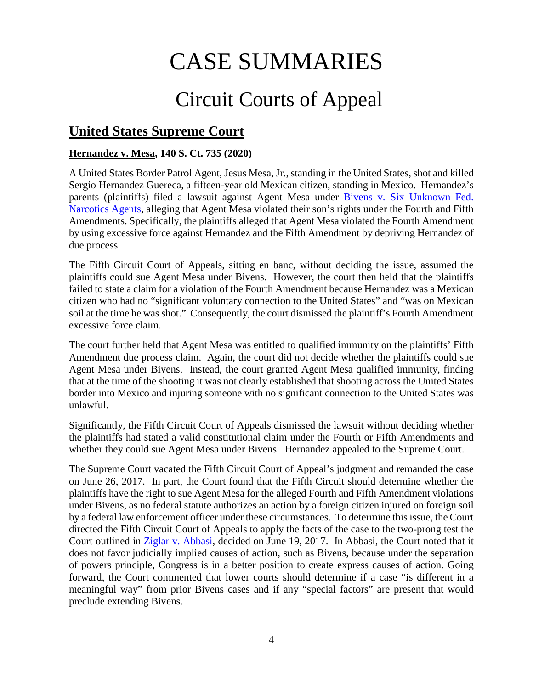# CASE SUMMARIES

# Circuit Courts of Appeal

# <span id="page-3-1"></span>**United States Supreme Court**

#### <span id="page-3-0"></span>**Hernandez v. Mesa, 140 S. Ct. 735 (2020)**

A United States Border Patrol Agent, Jesus Mesa, Jr., standing in the United States, shot and killed Sergio Hernandez Guereca, a fifteen-year old Mexican citizen, standing in Mexico. Hernandez's parents (plaintiffs) filed a lawsuit against Agent Mesa under [Bivens v. Six Unknown Fed.](https://supreme.justia.com/cases/federal/us/403/388/case.html)  [Narcotics Agents,](https://supreme.justia.com/cases/federal/us/403/388/case.html) alleging that Agent Mesa violated their son's rights under the Fourth and Fifth Amendments. Specifically, the plaintiffs alleged that Agent Mesa violated the Fourth Amendment by using excessive force against Hernandez and the Fifth Amendment by depriving Hernandez of due process.

The Fifth Circuit Court of Appeals, sitting en banc, without deciding the issue, assumed the plaintiffs could sue Agent Mesa under Bivens. However, the court then held that the plaintiffs failed to state a claim for a violation of the Fourth Amendment because Hernandez was a Mexican citizen who had no "significant voluntary connection to the United States" and "was on Mexican soil at the time he was shot." Consequently, the court dismissed the plaintiff's Fourth Amendment excessive force claim.

The court further held that Agent Mesa was entitled to qualified immunity on the plaintiffs' Fifth Amendment due process claim. Again, the court did not decide whether the plaintiffs could sue Agent Mesa under Bivens. Instead, the court granted Agent Mesa qualified immunity, finding that at the time of the shooting it was not clearly established that shooting across the United States border into Mexico and injuring someone with no significant connection to the United States was unlawful.

Significantly, the Fifth Circuit Court of Appeals dismissed the lawsuit without deciding whether the plaintiffs had stated a valid constitutional claim under the Fourth or Fifth Amendments and whether they could sue Agent Mesa under Bivens. Hernandez appealed to the Supreme Court.

The Supreme Court vacated the Fifth Circuit Court of Appeal's judgment and remanded the case on June 26, 2017. In part, the Court found that the Fifth Circuit should determine whether the plaintiffs have the right to sue Agent Mesa for the alleged Fourth and Fifth Amendment violations under Bivens, as no federal statute authorizes an action by a foreign citizen injured on foreign soil by a federal law enforcement officer under these circumstances. To determine this issue, the Court directed the Fifth Circuit Court of Appeals to apply the facts of the case to the two-prong test the Court outlined in [Ziglar v. Abbasi,](https://www.supremecourt.gov/opinions/16pdf/15-1358_6khn.pdf) decided on June 19, 2017. In Abbasi, the Court noted that it does not favor judicially implied causes of action, such as Bivens, because under the separation of powers principle, Congress is in a better position to create express causes of action. Going forward, the Court commented that lower courts should determine if a case "is different in a meaningful way" from prior Bivens cases and if any "special factors" are present that would preclude extending Bivens.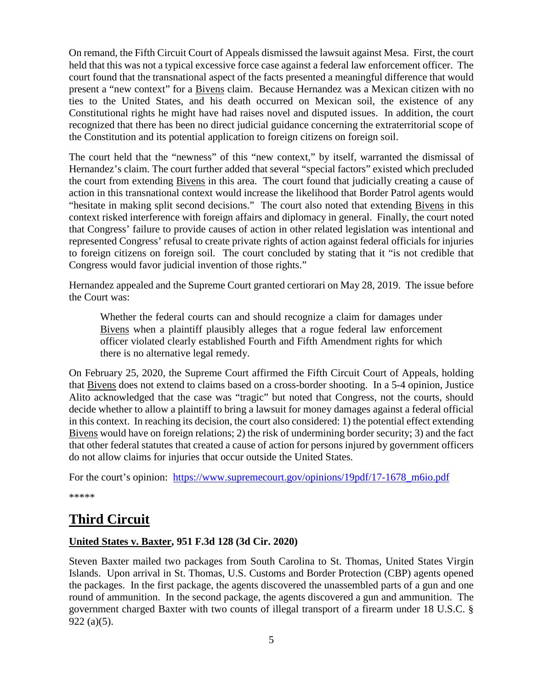On remand, the Fifth Circuit Court of Appeals dismissed the lawsuit against Mesa. First, the court held that this was not a typical excessive force case against a federal law enforcement officer. The court found that the transnational aspect of the facts presented a meaningful difference that would present a "new context" for a Bivens claim. Because Hernandez was a Mexican citizen with no ties to the United States, and his death occurred on Mexican soil, the existence of any Constitutional rights he might have had raises novel and disputed issues. In addition, the court recognized that there has been no direct judicial guidance concerning the extraterritorial scope of the Constitution and its potential application to foreign citizens on foreign soil.

The court held that the "newness" of this "new context," by itself, warranted the dismissal of Hernandez's claim. The court further added that several "special factors" existed which precluded the court from extending Bivens in this area. The court found that judicially creating a cause of action in this transnational context would increase the likelihood that Border Patrol agents would "hesitate in making split second decisions." The court also noted that extending Bivens in this context risked interference with foreign affairs and diplomacy in general. Finally, the court noted that Congress' failure to provide causes of action in other related legislation was intentional and represented Congress' refusal to create private rights of action against federal officials for injuries to foreign citizens on foreign soil. The court concluded by stating that it "is not credible that Congress would favor judicial invention of those rights."

Hernandez appealed and the Supreme Court granted certiorari on May 28, 2019. The issue before the Court was:

Whether the federal courts can and should recognize a claim for damages under Bivens when a plaintiff plausibly alleges that a rogue federal law enforcement officer violated clearly established Fourth and Fifth Amendment rights for which there is no alternative legal remedy.

On February 25, 2020, the Supreme Court affirmed the Fifth Circuit Court of Appeals, holding that Bivens does not extend to claims based on a cross-border shooting. In a 5-4 opinion, Justice Alito acknowledged that the case was "tragic" but noted that Congress, not the courts, should decide whether to allow a plaintiff to bring a lawsuit for money damages against a federal official in this context. In reaching its decision, the court also considered: 1) the potential effect extending Bivens would have on foreign relations; 2) the risk of undermining border security; 3) and the fact that other federal statutes that created a cause of action for persons injured by government officers do not allow claims for injuries that occur outside the United States.

For the court's opinion: [https://www.supremecourt.gov/opinions/19pdf/17-1678\\_m6io.pdf](https://www.supremecourt.gov/opinions/19pdf/17-1678_m6io.pdf)

\*\*\*\*\*

# <span id="page-4-0"></span>**Third Circuit**

#### <span id="page-4-1"></span>**United States v. Baxter, 951 F.3d 128 (3d Cir. 2020)**

Steven Baxter mailed two packages from South Carolina to St. Thomas, United States Virgin Islands. Upon arrival in St. Thomas, U.S. Customs and Border Protection (CBP) agents opened the packages. In the first package, the agents discovered the unassembled parts of a gun and one round of ammunition. In the second package, the agents discovered a gun and ammunition. The government charged Baxter with two counts of illegal transport of a firearm under 18 U.S.C. § 922 (a)(5).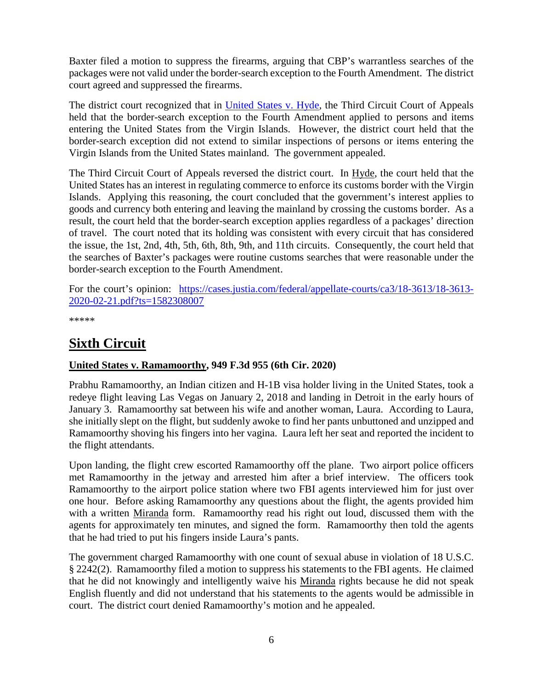Baxter filed a motion to suppress the firearms, arguing that CBP's warrantless searches of the packages were not valid under the border-search exception to the Fourth Amendment. The district court agreed and suppressed the firearms.

The district court recognized that in [United States v. Hyde,](https://law.justia.com/cases/federal/appellate-courts/F3/37/116/508677/) the Third Circuit Court of Appeals held that the border-search exception to the Fourth Amendment applied to persons and items entering the United States from the Virgin Islands. However, the district court held that the border-search exception did not extend to similar inspections of persons or items entering the Virgin Islands from the United States mainland. The government appealed.

The Third Circuit Court of Appeals reversed the district court. In Hyde, the court held that the United States has an interest in regulating commerce to enforce its customs border with the Virgin Islands. Applying this reasoning, the court concluded that the government's interest applies to goods and currency both entering and leaving the mainland by crossing the customs border. As a result, the court held that the border-search exception applies regardless of a packages' direction of travel. The court noted that its holding was consistent with every circuit that has considered the issue, the 1st, 2nd, 4th, 5th, 6th, 8th, 9th, and 11th circuits. Consequently, the court held that the searches of Baxter's packages were routine customs searches that were reasonable under the border-search exception to the Fourth Amendment.

For the court's opinion: [https://cases.justia.com/federal/appellate-courts/ca3/18-3613/18-3613-](https://cases.justia.com/federal/appellate-courts/ca3/18-3613/18-3613-2020-02-21.pdf?ts=1582308007) [2020-02-21.pdf?ts=1582308007](https://cases.justia.com/federal/appellate-courts/ca3/18-3613/18-3613-2020-02-21.pdf?ts=1582308007)

\*\*\*\*\*

# <span id="page-5-0"></span>**Sixth Circuit**

#### <span id="page-5-1"></span>**United States v. Ramamoorthy, 949 F.3d 955 (6th Cir. 2020)**

Prabhu Ramamoorthy, an Indian citizen and H-1B visa holder living in the United States, took a redeye flight leaving Las Vegas on January 2, 2018 and landing in Detroit in the early hours of January 3. Ramamoorthy sat between his wife and another woman, Laura. According to Laura, she initially slept on the flight, but suddenly awoke to find her pants unbuttoned and unzipped and Ramamoorthy shoving his fingers into her vagina. Laura left her seat and reported the incident to the flight attendants.

Upon landing, the flight crew escorted Ramamoorthy off the plane. Two airport police officers met Ramamoorthy in the jetway and arrested him after a brief interview. The officers took Ramamoorthy to the airport police station where two FBI agents interviewed him for just over one hour. Before asking Ramamoorthy any questions about the flight, the agents provided him with a written Miranda form. Ramamoorthy read his right out loud, discussed them with the agents for approximately ten minutes, and signed the form. Ramamoorthy then told the agents that he had tried to put his fingers inside Laura's pants.

The government charged Ramamoorthy with one count of sexual abuse in violation of 18 U.S.C. § 2242(2). Ramamoorthy filed a motion to suppress his statements to the FBI agents. He claimed that he did not knowingly and intelligently waive his Miranda rights because he did not speak English fluently and did not understand that his statements to the agents would be admissible in court. The district court denied Ramamoorthy's motion and he appealed.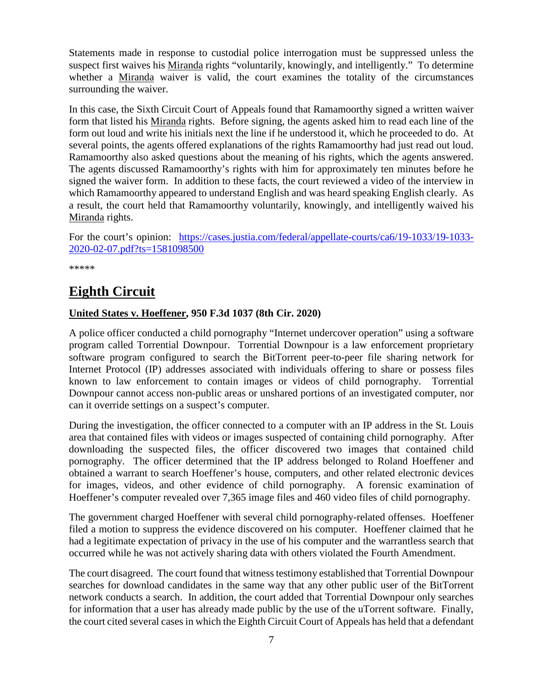Statements made in response to custodial police interrogation must be suppressed unless the suspect first waives his Miranda rights "voluntarily, knowingly, and intelligently." To determine whether a Miranda waiver is valid, the court examines the totality of the circumstances surrounding the waiver.

In this case, the Sixth Circuit Court of Appeals found that Ramamoorthy signed a written waiver form that listed his Miranda rights. Before signing, the agents asked him to read each line of the form out loud and write his initials next the line if he understood it, which he proceeded to do. At several points, the agents offered explanations of the rights Ramamoorthy had just read out loud. Ramamoorthy also asked questions about the meaning of his rights, which the agents answered. The agents discussed Ramamoorthy's rights with him for approximately ten minutes before he signed the waiver form. In addition to these facts, the court reviewed a video of the interview in which Ramamoorthy appeared to understand English and was heard speaking English clearly. As a result, the court held that Ramamoorthy voluntarily, knowingly, and intelligently waived his Miranda rights.

For the court's opinion: [https://cases.justia.com/federal/appellate-courts/ca6/19-1033/19-1033-](https://cases.justia.com/federal/appellate-courts/ca6/19-1033/19-1033-2020-02-07.pdf?ts=1581098500) [2020-02-07.pdf?ts=1581098500](https://cases.justia.com/federal/appellate-courts/ca6/19-1033/19-1033-2020-02-07.pdf?ts=1581098500)

\*\*\*\*\*

# <span id="page-6-0"></span>**Eighth Circuit**

#### <span id="page-6-1"></span>**United States v. Hoeffener, 950 F.3d 1037 (8th Cir. 2020)**

A police officer conducted a child pornography "Internet undercover operation" using a software program called Torrential Downpour. Torrential Downpour is a law enforcement proprietary software program configured to search the BitTorrent peer-to-peer file sharing network for Internet Protocol (IP) addresses associated with individuals offering to share or possess files known to law enforcement to contain images or videos of child pornography. Torrential Downpour cannot access non-public areas or unshared portions of an investigated computer, nor can it override settings on a suspect's computer.

During the investigation, the officer connected to a computer with an IP address in the St. Louis area that contained files with videos or images suspected of containing child pornography. After downloading the suspected files, the officer discovered two images that contained child pornography. The officer determined that the IP address belonged to Roland Hoeffener and obtained a warrant to search Hoeffener's house, computers, and other related electronic devices for images, videos, and other evidence of child pornography. A forensic examination of Hoeffener's computer revealed over 7,365 image files and 460 video files of child pornography.

The government charged Hoeffener with several child pornography-related offenses. Hoeffener filed a motion to suppress the evidence discovered on his computer. Hoeffener claimed that he had a legitimate expectation of privacy in the use of his computer and the warrantless search that occurred while he was not actively sharing data with others violated the Fourth Amendment.

The court disagreed. The court found that witness testimony established that Torrential Downpour searches for download candidates in the same way that any other public user of the BitTorrent network conducts a search. In addition, the court added that Torrential Downpour only searches for information that a user has already made public by the use of the uTorrent software. Finally, the court cited several cases in which the Eighth Circuit Court of Appeals has held that a defendant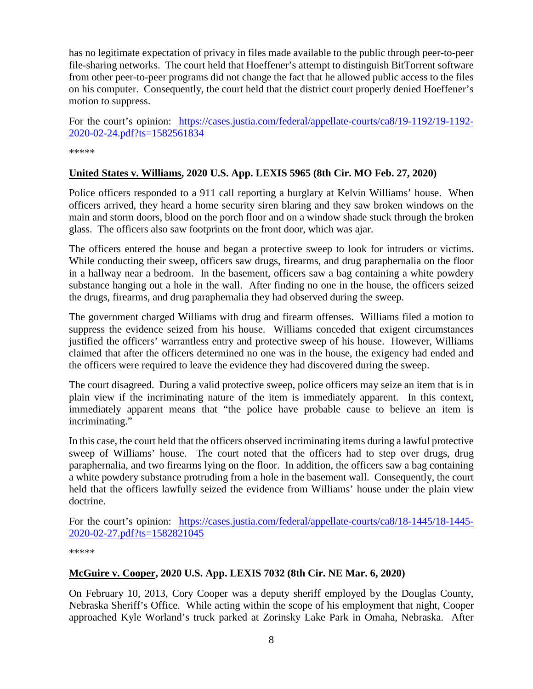has no legitimate expectation of privacy in files made available to the public through peer-to-peer file-sharing networks. The court held that Hoeffener's attempt to distinguish BitTorrent software from other peer-to-peer programs did not change the fact that he allowed public access to the files on his computer. Consequently, the court held that the district court properly denied Hoeffener's motion to suppress.

For the court's opinion: [https://cases.justia.com/federal/appellate-courts/ca8/19-1192/19-1192-](https://cases.justia.com/federal/appellate-courts/ca8/19-1192/19-1192-2020-02-24.pdf?ts=1582561834) [2020-02-24.pdf?ts=1582561834](https://cases.justia.com/federal/appellate-courts/ca8/19-1192/19-1192-2020-02-24.pdf?ts=1582561834)

\*\*\*\*\*

#### <span id="page-7-0"></span>**United States v. Williams, 2020 U.S. App. LEXIS 5965 (8th Cir. MO Feb. 27, 2020)**

Police officers responded to a 911 call reporting a burglary at Kelvin Williams' house. When officers arrived, they heard a home security siren blaring and they saw broken windows on the main and storm doors, blood on the porch floor and on a window shade stuck through the broken glass. The officers also saw footprints on the front door, which was ajar.

The officers entered the house and began a protective sweep to look for intruders or victims. While conducting their sweep, officers saw drugs, firearms, and drug paraphernalia on the floor in a hallway near a bedroom. In the basement, officers saw a bag containing a white powdery substance hanging out a hole in the wall. After finding no one in the house, the officers seized the drugs, firearms, and drug paraphernalia they had observed during the sweep.

The government charged Williams with drug and firearm offenses. Williams filed a motion to suppress the evidence seized from his house. Williams conceded that exigent circumstances justified the officers' warrantless entry and protective sweep of his house. However, Williams claimed that after the officers determined no one was in the house, the exigency had ended and the officers were required to leave the evidence they had discovered during the sweep.

The court disagreed. During a valid protective sweep, police officers may seize an item that is in plain view if the incriminating nature of the item is immediately apparent. In this context, immediately apparent means that "the police have probable cause to believe an item is incriminating."

In this case, the court held that the officers observed incriminating items during a lawful protective sweep of Williams' house. The court noted that the officers had to step over drugs, drug paraphernalia, and two firearms lying on the floor. In addition, the officers saw a bag containing a white powdery substance protruding from a hole in the basement wall. Consequently, the court held that the officers lawfully seized the evidence from Williams' house under the plain view doctrine.

For the court's opinion: [https://cases.justia.com/federal/appellate-courts/ca8/18-1445/18-1445-](https://cases.justia.com/federal/appellate-courts/ca8/18-1445/18-1445-2020-02-27.pdf?ts=1582821045) [2020-02-27.pdf?ts=1582821045](https://cases.justia.com/federal/appellate-courts/ca8/18-1445/18-1445-2020-02-27.pdf?ts=1582821045)

\*\*\*\*\*

#### <span id="page-7-1"></span>**McGuire v. Cooper, 2020 U.S. App. LEXIS 7032 (8th Cir. NE Mar. 6, 2020)**

On February 10, 2013, Cory Cooper was a deputy sheriff employed by the Douglas County, Nebraska Sheriff's Office. While acting within the scope of his employment that night, Cooper approached Kyle Worland's truck parked at Zorinsky Lake Park in Omaha, Nebraska. After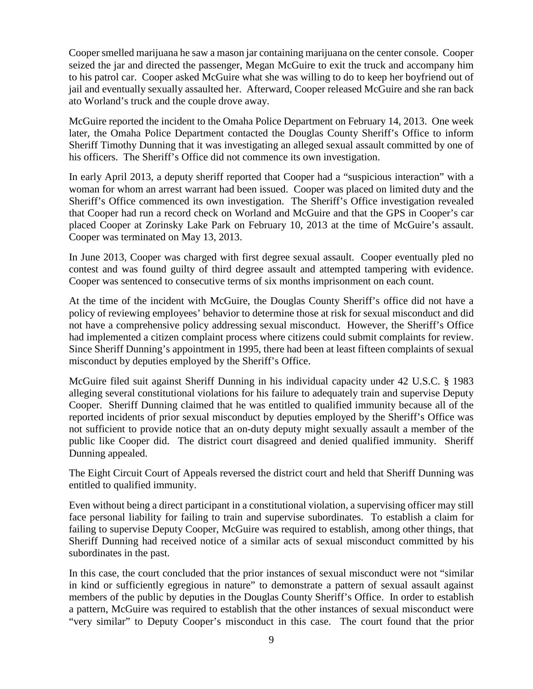Cooper smelled marijuana he saw a mason jar containing marijuana on the center console. Cooper seized the jar and directed the passenger, Megan McGuire to exit the truck and accompany him to his patrol car. Cooper asked McGuire what she was willing to do to keep her boyfriend out of jail and eventually sexually assaulted her. Afterward, Cooper released McGuire and she ran back ato Worland's truck and the couple drove away.

McGuire reported the incident to the Omaha Police Department on February 14, 2013. One week later, the Omaha Police Department contacted the Douglas County Sheriff's Office to inform Sheriff Timothy Dunning that it was investigating an alleged sexual assault committed by one of his officers. The Sheriff's Office did not commence its own investigation.

In early April 2013, a deputy sheriff reported that Cooper had a "suspicious interaction" with a woman for whom an arrest warrant had been issued. Cooper was placed on limited duty and the Sheriff's Office commenced its own investigation. The Sheriff's Office investigation revealed that Cooper had run a record check on Worland and McGuire and that the GPS in Cooper's car placed Cooper at Zorinsky Lake Park on February 10, 2013 at the time of McGuire's assault. Cooper was terminated on May 13, 2013.

In June 2013, Cooper was charged with first degree sexual assault. Cooper eventually pled no contest and was found guilty of third degree assault and attempted tampering with evidence. Cooper was sentenced to consecutive terms of six months imprisonment on each count.

At the time of the incident with McGuire, the Douglas County Sheriff's office did not have a policy of reviewing employees' behavior to determine those at risk for sexual misconduct and did not have a comprehensive policy addressing sexual misconduct. However, the Sheriff's Office had implemented a citizen complaint process where citizens could submit complaints for review. Since Sheriff Dunning's appointment in 1995, there had been at least fifteen complaints of sexual misconduct by deputies employed by the Sheriff's Office.

McGuire filed suit against Sheriff Dunning in his individual capacity under 42 U.S.C. § 1983 alleging several constitutional violations for his failure to adequately train and supervise Deputy Cooper. Sheriff Dunning claimed that he was entitled to qualified immunity because all of the reported incidents of prior sexual misconduct by deputies employed by the Sheriff's Office was not sufficient to provide notice that an on-duty deputy might sexually assault a member of the public like Cooper did. The district court disagreed and denied qualified immunity. Sheriff Dunning appealed.

The Eight Circuit Court of Appeals reversed the district court and held that Sheriff Dunning was entitled to qualified immunity.

Even without being a direct participant in a constitutional violation, a supervising officer may still face personal liability for failing to train and supervise subordinates. To establish a claim for failing to supervise Deputy Cooper, McGuire was required to establish, among other things, that Sheriff Dunning had received notice of a similar acts of sexual misconduct committed by his subordinates in the past.

In this case, the court concluded that the prior instances of sexual misconduct were not "similar in kind or sufficiently egregious in nature" to demonstrate a pattern of sexual assault against members of the public by deputies in the Douglas County Sheriff's Office. In order to establish a pattern, McGuire was required to establish that the other instances of sexual misconduct were "very similar" to Deputy Cooper's misconduct in this case. The court found that the prior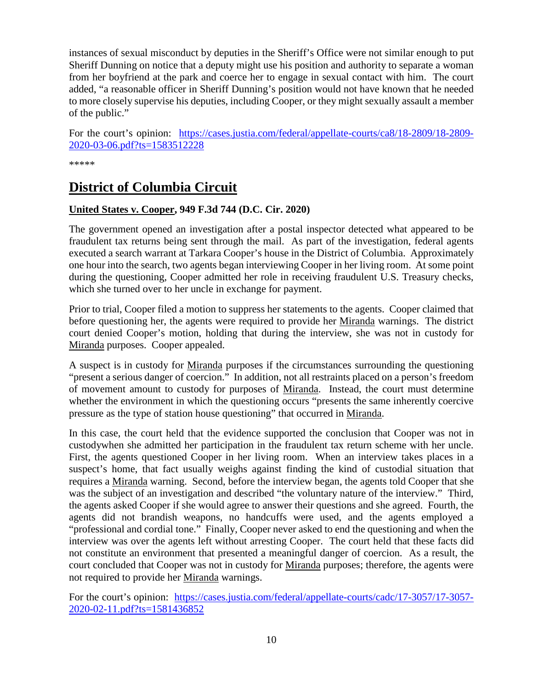instances of sexual misconduct by deputies in the Sheriff's Office were not similar enough to put Sheriff Dunning on notice that a deputy might use his position and authority to separate a woman from her boyfriend at the park and coerce her to engage in sexual contact with him. The court added, "a reasonable officer in Sheriff Dunning's position would not have known that he needed to more closely supervise his deputies, including Cooper, or they might sexually assault a member of the public."

For the court's opinion: [https://cases.justia.com/federal/appellate-courts/ca8/18-2809/18-2809-](https://cases.justia.com/federal/appellate-courts/ca8/18-2809/18-2809-2020-03-06.pdf?ts=1583512228) [2020-03-06.pdf?ts=1583512228](https://cases.justia.com/federal/appellate-courts/ca8/18-2809/18-2809-2020-03-06.pdf?ts=1583512228)

\*\*\*\*\*

## <span id="page-9-0"></span>**District of Columbia Circuit**

#### <span id="page-9-1"></span>**United States v. Cooper, 949 F.3d 744 (D.C. Cir. 2020)**

The government opened an investigation after a postal inspector detected what appeared to be fraudulent tax returns being sent through the mail. As part of the investigation, federal agents executed a search warrant at Tarkara Cooper's house in the District of Columbia. Approximately one hour into the search, two agents began interviewing Cooper in her living room. At some point during the questioning, Cooper admitted her role in receiving fraudulent U.S. Treasury checks, which she turned over to her uncle in exchange for payment.

Prior to trial, Cooper filed a motion to suppress her statements to the agents. Cooper claimed that before questioning her, the agents were required to provide her Miranda warnings. The district court denied Cooper's motion, holding that during the interview, she was not in custody for Miranda purposes. Cooper appealed.

A suspect is in custody for Miranda purposes if the circumstances surrounding the questioning "present a serious danger of coercion." In addition, not all restraints placed on a person's freedom of movement amount to custody for purposes of Miranda. Instead, the court must determine whether the environment in which the questioning occurs "presents the same inherently coercive pressure as the type of station house questioning" that occurred in Miranda.

In this case, the court held that the evidence supported the conclusion that Cooper was not in custodywhen she admitted her participation in the fraudulent tax return scheme with her uncle. First, the agents questioned Cooper in her living room. When an interview takes places in a suspect's home, that fact usually weighs against finding the kind of custodial situation that requires a Miranda warning. Second, before the interview began, the agents told Cooper that she was the subject of an investigation and described "the voluntary nature of the interview." Third, the agents asked Cooper if she would agree to answer their questions and she agreed. Fourth, the agents did not brandish weapons, no handcuffs were used, and the agents employed a "professional and cordial tone." Finally, Cooper never asked to end the questioning and when the interview was over the agents left without arresting Cooper. The court held that these facts did not constitute an environment that presented a meaningful danger of coercion. As a result, the court concluded that Cooper was not in custody for Miranda purposes; therefore, the agents were not required to provide her Miranda warnings.

For the court's opinion: [https://cases.justia.com/federal/appellate-courts/cadc/17-3057/17-3057-](https://cases.justia.com/federal/appellate-courts/cadc/17-3057/17-3057-2020-02-11.pdf?ts=1581436852) [2020-02-11.pdf?ts=1581436852](https://cases.justia.com/federal/appellate-courts/cadc/17-3057/17-3057-2020-02-11.pdf?ts=1581436852)